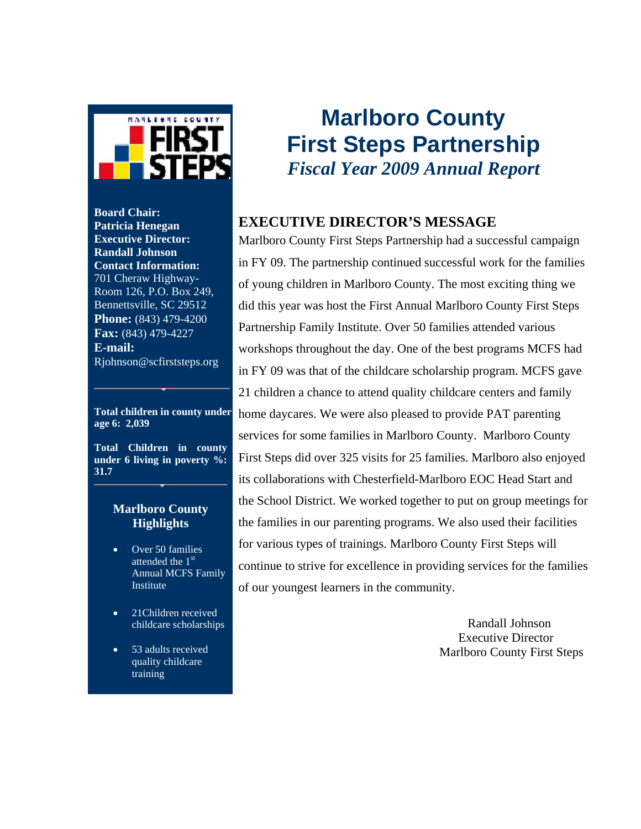

**Board Chair: Patricia Henegan Executive Director: Randall Johnson Contact Information:**  701 Cheraw Highway-Room 126, P.O. Box 249, Bennettsville, SC 29512 **Phone:** (843) 479-4200 **Fax:** (843) 479-4227 **E-mail:** Rjohnson@scfirststeps.org

**Total children in county under age 6: 2,039**

**Total Children in county under 6 living in poverty %: 31.7** 

#### **Marlboro County Highlights**

- Over 50 families attended the 1<sup>st</sup> Annual MCFS Family Institute
- 21 Children received childcare scholarships
- 53 adults received quality childcare training

# **Marlboro County First Steps Partnership**  *Fiscal Year 2009 Annual Report*

### **EXECUTIVE DIRECTOR'S MESSAGE**

Marlboro County First Steps Partnership had a successful campaign in FY 09. The partnership continued successful work for the families of young children in Marlboro County. The most exciting thing we did this year was host the First Annual Marlboro County First Steps Partnership Family Institute. Over 50 families attended various workshops throughout the day. One of the best programs MCFS had in FY 09 was that of the childcare scholarship program. MCFS gave 21 children a chance to attend quality childcare centers and family home daycares. We were also pleased to provide PAT parenting services for some families in Marlboro County. Marlboro County First Steps did over 325 visits for 25 families. Marlboro also enjoyed its collaborations with Chesterfield-Marlboro EOC Head Start and the School District. We worked together to put on group meetings for the families in our parenting programs. We also used their facilities for various types of trainings. Marlboro County First Steps will continue to strive for excellence in providing services for the families of our youngest learners in the community.

> Randall Johnson Executive Director Marlboro County First Steps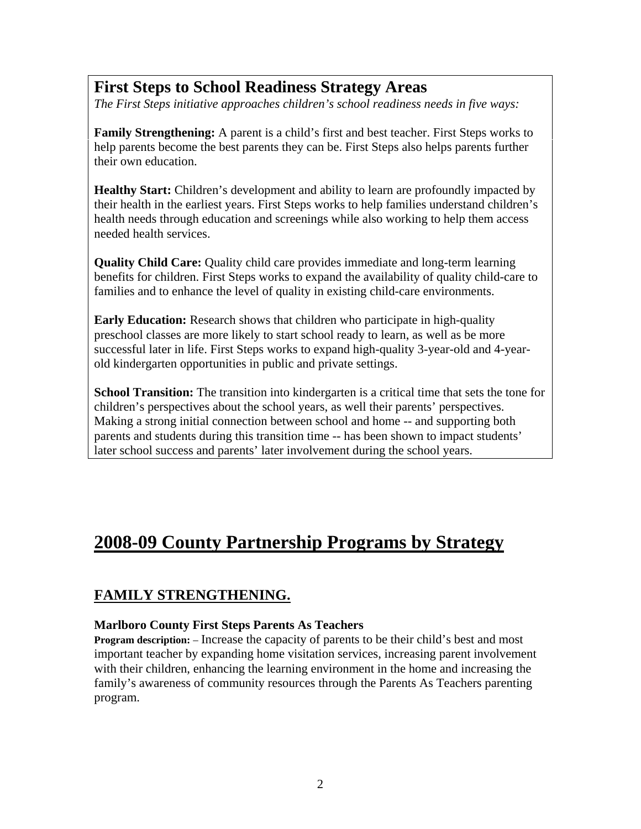## **First Steps to School Readiness Strategy Areas**

*The First Steps initiative approaches children's school readiness needs in five ways:* 

**Family Strengthening:** A parent is a child's first and best teacher. First Steps works to help parents become the best parents they can be. First Steps also helps parents further their own education.

**Healthy Start:** Children's development and ability to learn are profoundly impacted by their health in the earliest years. First Steps works to help families understand children's health needs through education and screenings while also working to help them access needed health services.

**Quality Child Care:** Quality child care provides immediate and long-term learning benefits for children. First Steps works to expand the availability of quality child-care to families and to enhance the level of quality in existing child-care environments.

**Early Education:** Research shows that children who participate in high-quality preschool classes are more likely to start school ready to learn, as well as be more successful later in life. First Steps works to expand high-quality 3-year-old and 4-yearold kindergarten opportunities in public and private settings.

**School Transition:** The transition into kindergarten is a critical time that sets the tone for children's perspectives about the school years, as well their parents' perspectives. Making a strong initial connection between school and home -- and supporting both parents and students during this transition time -- has been shown to impact students' later school success and parents' later involvement during the school years.

## **2008-09 County Partnership Programs by Strategy**

### **FAMILY STRENGTHENING.**

#### **Marlboro County First Steps Parents As Teachers**

**Program description:** – Increase the capacity of parents to be their child's best and most important teacher by expanding home visitation services, increasing parent involvement with their children, enhancing the learning environment in the home and increasing the family's awareness of community resources through the Parents As Teachers parenting program.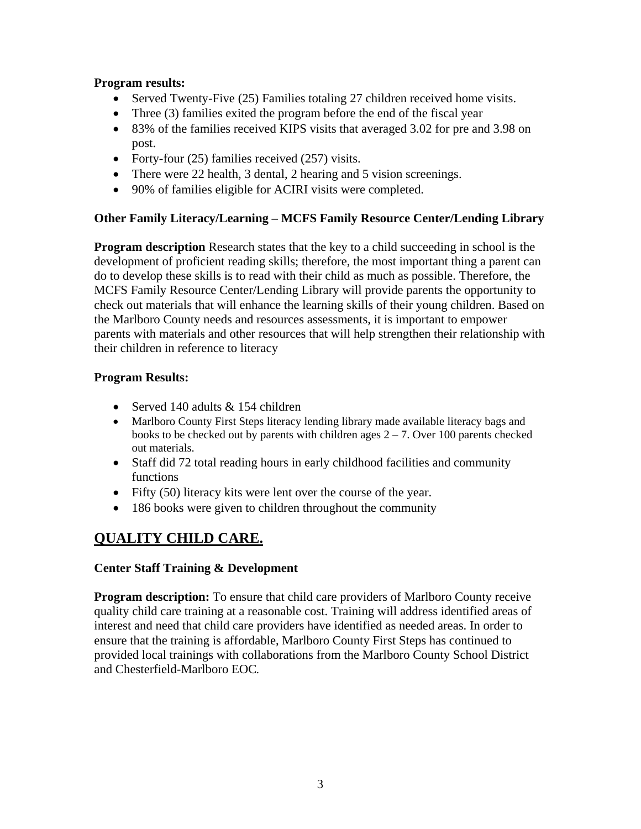#### **Program results:**

- Served Twenty-Five (25) Families totaling 27 children received home visits.
- Three (3) families exited the program before the end of the fiscal year
- 83% of the families received KIPS visits that averaged 3.02 for pre and 3.98 on post.
- Forty-four (25) families received (257) visits.
- There were 22 health, 3 dental, 2 hearing and 5 vision screenings.
- 90% of families eligible for ACIRI visits were completed.

#### **Other Family Literacy/Learning – MCFS Family Resource Center/Lending Library**

**Program description** Research states that the key to a child succeeding in school is the development of proficient reading skills; therefore, the most important thing a parent can do to develop these skills is to read with their child as much as possible. Therefore, the MCFS Family Resource Center/Lending Library will provide parents the opportunity to check out materials that will enhance the learning skills of their young children. Based on the Marlboro County needs and resources assessments, it is important to empower parents with materials and other resources that will help strengthen their relationship with their children in reference to literacy

#### **Program Results:**

- Served 140 adults & 154 children
- Marlboro County First Steps literacy lending library made available literacy bags and books to be checked out by parents with children ages  $2 - 7$ . Over 100 parents checked out materials.
- Staff did 72 total reading hours in early childhood facilities and community functions
- Fifty (50) literacy kits were lent over the course of the year.
- 186 books were given to children throughout the community

## **QUALITY CHILD CARE.**

#### **Center Staff Training & Development**

**Program description:** To ensure that child care providers of Marlboro County receive quality child care training at a reasonable cost. Training will address identified areas of interest and need that child care providers have identified as needed areas. In order to ensure that the training is affordable, Marlboro County First Steps has continued to provided local trainings with collaborations from the Marlboro County School District and Chesterfield-Marlboro EOC*.*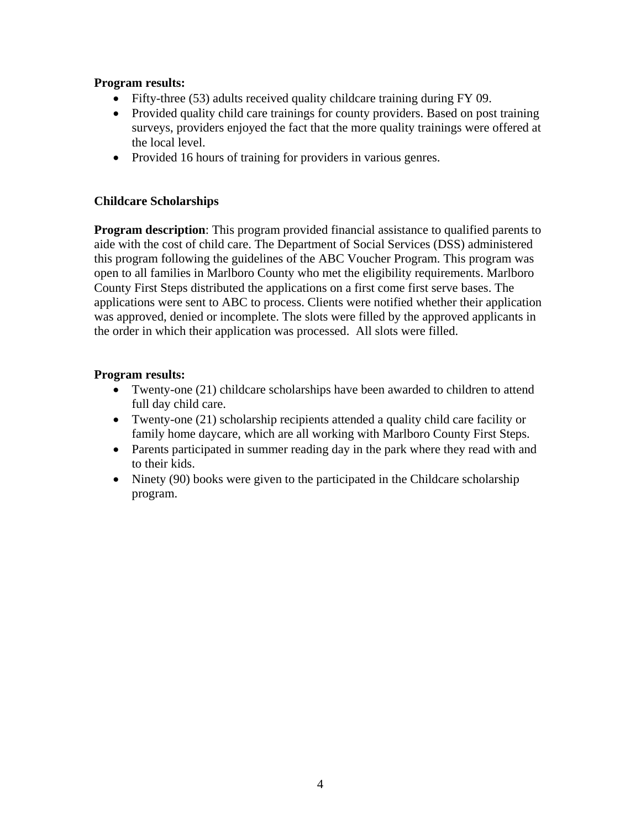#### **Program results:**

- Fifty-three (53) adults received quality childcare training during FY 09.
- Provided quality child care trainings for county providers. Based on post training surveys, providers enjoyed the fact that the more quality trainings were offered at the local level.
- Provided 16 hours of training for providers in various genres.

#### **Childcare Scholarships**

**Program description**: This program provided financial assistance to qualified parents to aide with the cost of child care. The Department of Social Services (DSS) administered this program following the guidelines of the ABC Voucher Program. This program was open to all families in Marlboro County who met the eligibility requirements. Marlboro County First Steps distributed the applications on a first come first serve bases. The applications were sent to ABC to process. Clients were notified whether their application was approved, denied or incomplete. The slots were filled by the approved applicants in the order in which their application was processed. All slots were filled.

#### **Program results:**

- Twenty-one (21) childcare scholarships have been awarded to children to attend full day child care.
- Twenty-one (21) scholarship recipients attended a quality child care facility or family home daycare, which are all working with Marlboro County First Steps.
- Parents participated in summer reading day in the park where they read with and to their kids.
- Ninety (90) books were given to the participated in the Childcare scholarship program.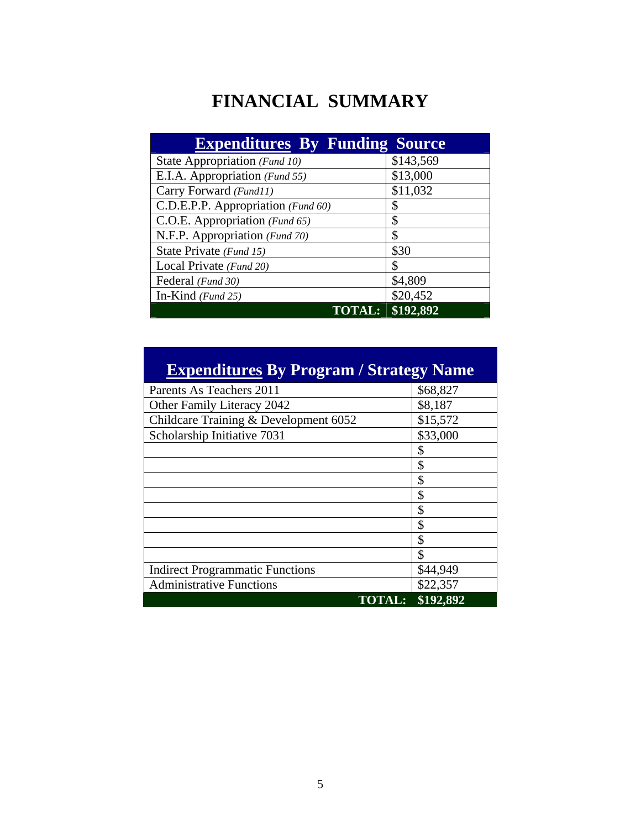# **FINANCIAL SUMMARY**

| <b>Expenditures By Funding Source</b> |           |
|---------------------------------------|-----------|
| State Appropriation (Fund 10)         | \$143,569 |
| E.I.A. Appropriation (Fund 55)        | \$13,000  |
| Carry Forward (Fund11)                | \$11,032  |
| C.D.E.P.P. Appropriation (Fund 60)    | \$        |
| C.O.E. Appropriation (Fund 65)        | \$        |
| N.F.P. Appropriation (Fund 70)        | \$        |
| State Private (Fund 15)               | \$30      |
| Local Private (Fund 20)               | \$        |
| Federal (Fund 30)                     | \$4,809   |
| In-Kind $(Fund 25)$                   | \$20,452  |
| TOTA                                  | \$192,892 |

| <b>Expenditures By Program / Strategy Name</b> |  |
|------------------------------------------------|--|
|                                                |  |

| Parents As Teachers 2011               | \$68,827  |
|----------------------------------------|-----------|
| Other Family Literacy 2042             | \$8,187   |
| Childcare Training & Development 6052  | \$15,572  |
| Scholarship Initiative 7031            | \$33,000  |
|                                        | \$        |
|                                        | \$        |
|                                        | \$        |
|                                        | \$        |
|                                        | \$        |
|                                        | \$        |
|                                        | \$        |
|                                        | \$        |
| <b>Indirect Programmatic Functions</b> | \$44,949  |
| <b>Administrative Functions</b>        | \$22,357  |
| <b>TOTAL:</b>                          | \$192,892 |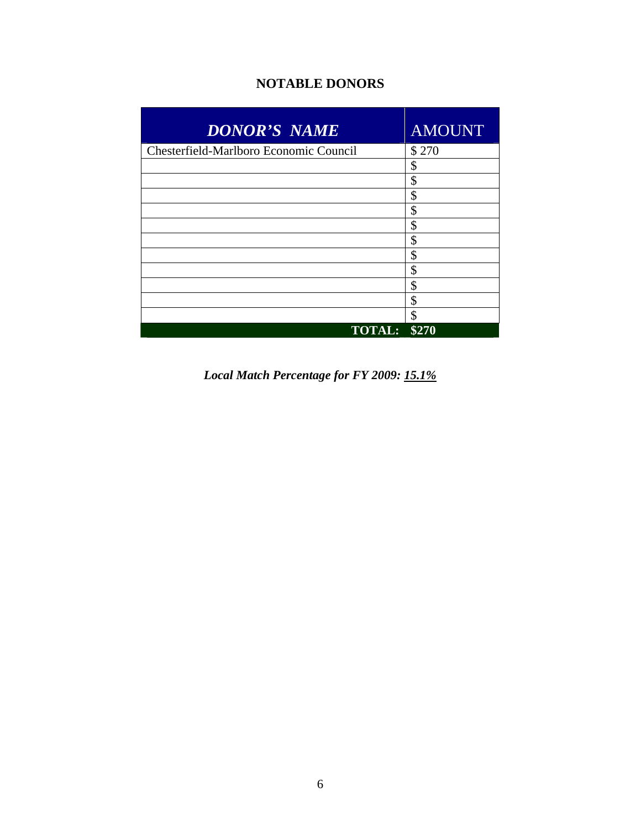### **NOTABLE DONORS**

| <b>DONOR'S NAME</b>                    | <b>AMOUNT</b> |
|----------------------------------------|---------------|
| Chesterfield-Marlboro Economic Council | \$270         |
|                                        | \$            |
|                                        | \$            |
|                                        | \$            |
|                                        | \$            |
|                                        | \$            |
|                                        | \$            |
|                                        | \$            |
|                                        | \$            |
|                                        | \$            |
|                                        | \$            |
|                                        | \$            |
| <b>TOTAL:</b>                          | \$270         |

*Local Match Percentage for FY 2009: 15.1%*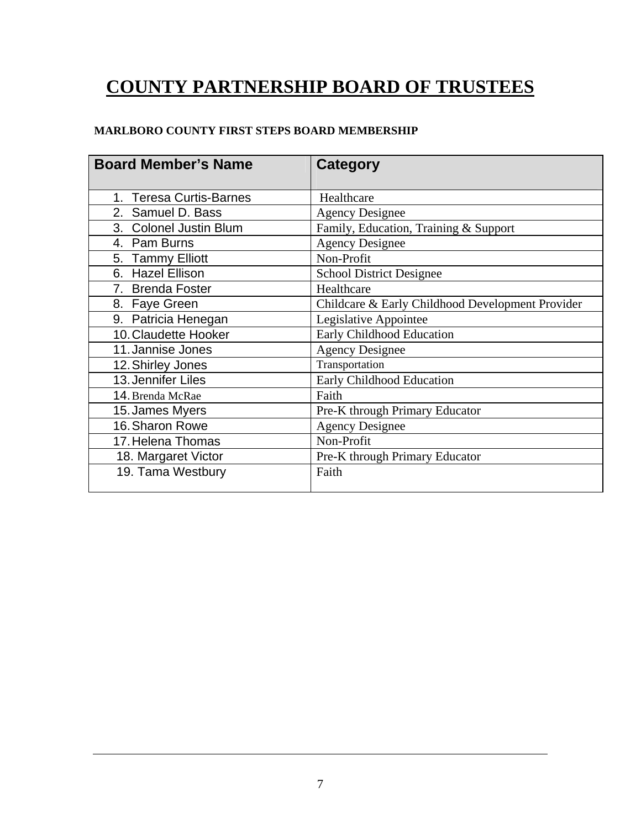# **COUNTY PARTNERSHIP BOARD OF TRUSTEES**

#### **MARLBORO COUNTY FIRST STEPS BOARD MEMBERSHIP**

| <b>Board Member's Name</b>        | Category                                         |
|-----------------------------------|--------------------------------------------------|
| <b>Teresa Curtis-Barnes</b><br>1. | Healthcare                                       |
| 2. Samuel D. Bass                 | <b>Agency Designee</b>                           |
| 3. Colonel Justin Blum            | Family, Education, Training & Support            |
| 4. Pam Burns                      | <b>Agency Designee</b>                           |
| 5. Tammy Elliott                  | Non-Profit                                       |
| 6. Hazel Ellison                  | <b>School District Designee</b>                  |
| 7. Brenda Foster                  | Healthcare                                       |
| 8. Faye Green                     | Childcare & Early Childhood Development Provider |
| 9. Patricia Henegan               | Legislative Appointee                            |
| 10. Claudette Hooker              | Early Childhood Education                        |
| 11. Jannise Jones                 | <b>Agency Designee</b>                           |
| 12. Shirley Jones                 | Transportation                                   |
| 13. Jennifer Liles                | Early Childhood Education                        |
| 14. Brenda McRae                  | Faith                                            |
| 15. James Myers                   | Pre-K through Primary Educator                   |
| 16. Sharon Rowe                   | <b>Agency Designee</b>                           |
| 17. Helena Thomas                 | Non-Profit                                       |
| 18. Margaret Victor               | Pre-K through Primary Educator                   |
| 19. Tama Westbury                 | Faith                                            |
|                                   |                                                  |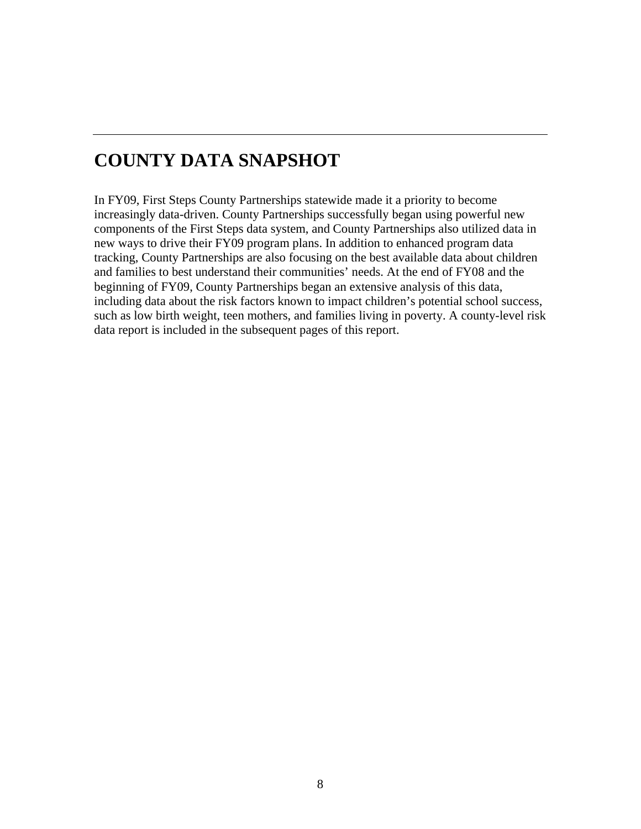# **COUNTY DATA SNAPSHOT**

In FY09, First Steps County Partnerships statewide made it a priority to become increasingly data-driven. County Partnerships successfully began using powerful new components of the First Steps data system, and County Partnerships also utilized data in new ways to drive their FY09 program plans. In addition to enhanced program data tracking, County Partnerships are also focusing on the best available data about children and families to best understand their communities' needs. At the end of FY08 and the beginning of FY09, County Partnerships began an extensive analysis of this data, including data about the risk factors known to impact children's potential school success, such as low birth weight, teen mothers, and families living in poverty. A county-level risk data report is included in the subsequent pages of this report.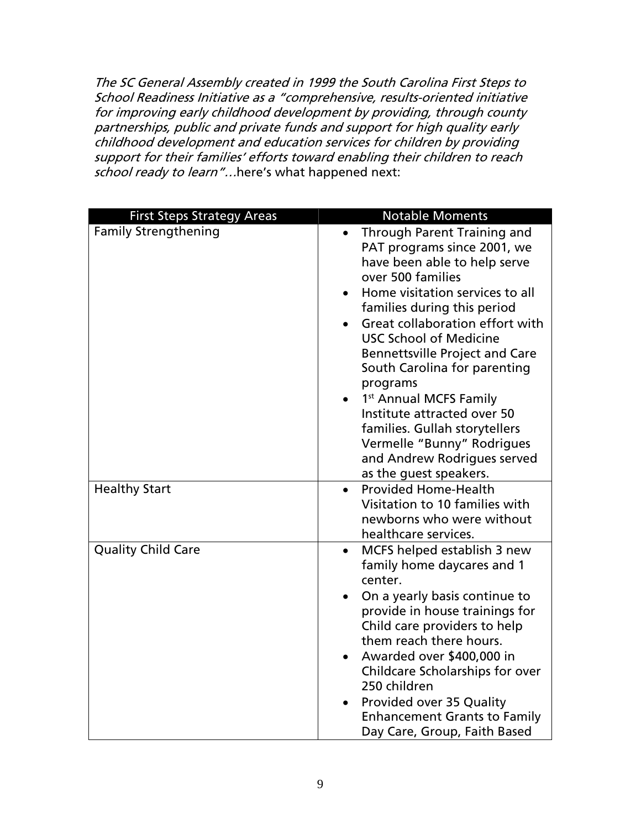The SC General Assembly created in 1999 the South Carolina First Steps to School Readiness Initiative as a "comprehensive, results-oriented initiative for improving early childhood development by providing, through county partnerships, public and private funds and support for high quality early childhood development and education services for children by providing support for their families' efforts toward enabling their children to reach school ready to learn"...here's what happened next:

| <b>First Steps Strategy Areas</b> | <b>Notable Moments</b>                                                                                                                                                                                                                                                                                                                                                                                                                                                                                                                                      |
|-----------------------------------|-------------------------------------------------------------------------------------------------------------------------------------------------------------------------------------------------------------------------------------------------------------------------------------------------------------------------------------------------------------------------------------------------------------------------------------------------------------------------------------------------------------------------------------------------------------|
| <b>Family Strengthening</b>       | <b>Through Parent Training and</b><br>$\bullet$<br>PAT programs since 2001, we<br>have been able to help serve<br>over 500 families<br>Home visitation services to all<br>families during this period<br>Great collaboration effort with<br><b>USC School of Medicine</b><br><b>Bennettsville Project and Care</b><br>South Carolina for parenting<br>programs<br>1 <sup>st</sup> Annual MCFS Family<br>Institute attracted over 50<br>families. Gullah storytellers<br>Vermelle "Bunny" Rodrigues<br>and Andrew Rodrigues served<br>as the guest speakers. |
| <b>Healthy Start</b>              | <b>Provided Home-Health</b><br>Visitation to 10 families with<br>newborns who were without<br>healthcare services.                                                                                                                                                                                                                                                                                                                                                                                                                                          |
| <b>Quality Child Care</b>         | MCFS helped establish 3 new<br>$\bullet$<br>family home daycares and 1<br>center.<br>On a yearly basis continue to<br>provide in house trainings for<br>Child care providers to help<br>them reach there hours.<br>Awarded over \$400,000 in<br>$\bullet$<br>Childcare Scholarships for over<br>250 children<br>Provided over 35 Quality<br><b>Enhancement Grants to Family</b><br>Day Care, Group, Faith Based                                                                                                                                             |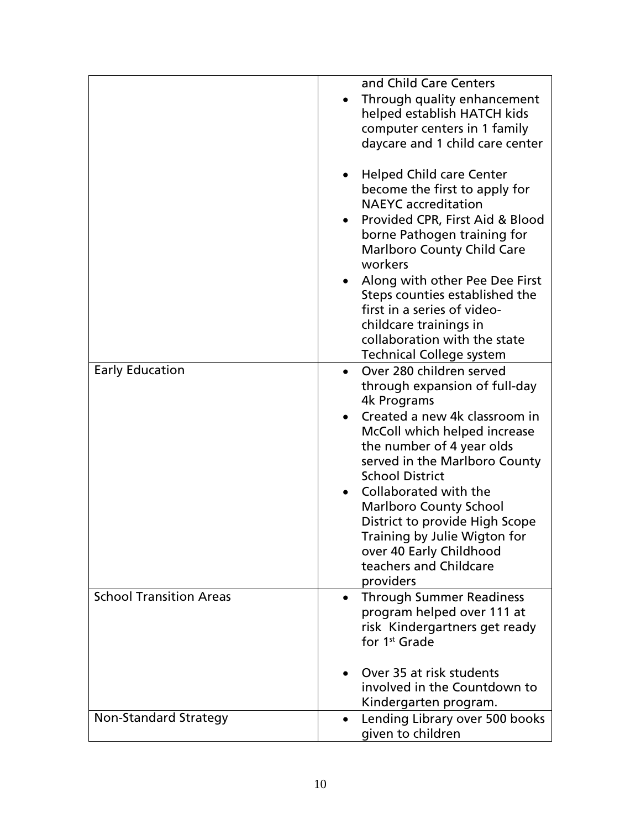|                                                          | and Child Care Centers<br>Through quality enhancement<br>helped establish HATCH kids<br>computer centers in 1 family<br>daycare and 1 child care center<br><b>Helped Child care Center</b><br>$\bullet$                                                                                                                                                                                                                                                                         |
|----------------------------------------------------------|---------------------------------------------------------------------------------------------------------------------------------------------------------------------------------------------------------------------------------------------------------------------------------------------------------------------------------------------------------------------------------------------------------------------------------------------------------------------------------|
|                                                          | become the first to apply for<br><b>NAEYC</b> accreditation<br>Provided CPR, First Aid & Blood<br>$\bullet$<br>borne Pathogen training for<br><b>Marlboro County Child Care</b>                                                                                                                                                                                                                                                                                                 |
|                                                          | workers<br>Along with other Pee Dee First<br>Steps counties established the<br>first in a series of video-<br>childcare trainings in<br>collaboration with the state<br><b>Technical College system</b>                                                                                                                                                                                                                                                                         |
| <b>Early Education</b><br><b>School Transition Areas</b> | Over 280 children served<br>through expansion of full-day<br>4k Programs<br>Created a new 4k classroom in<br>McColl which helped increase<br>the number of 4 year olds<br>served in the Marlboro County<br><b>School District</b><br>Collaborated with the<br><b>Marlboro County School</b><br>District to provide High Scope<br>Training by Julie Wigton for<br>over 40 Early Childhood<br>teachers and Childcare<br>providers<br><b>Through Summer Readiness</b><br>$\bullet$ |
|                                                          | program helped over 111 at<br>risk Kindergartners get ready<br>for 1 <sup>st</sup> Grade<br>Over 35 at risk students<br>involved in the Countdown to<br>Kindergarten program.                                                                                                                                                                                                                                                                                                   |
| Non-Standard Strategy                                    | Lending Library over 500 books<br>given to children                                                                                                                                                                                                                                                                                                                                                                                                                             |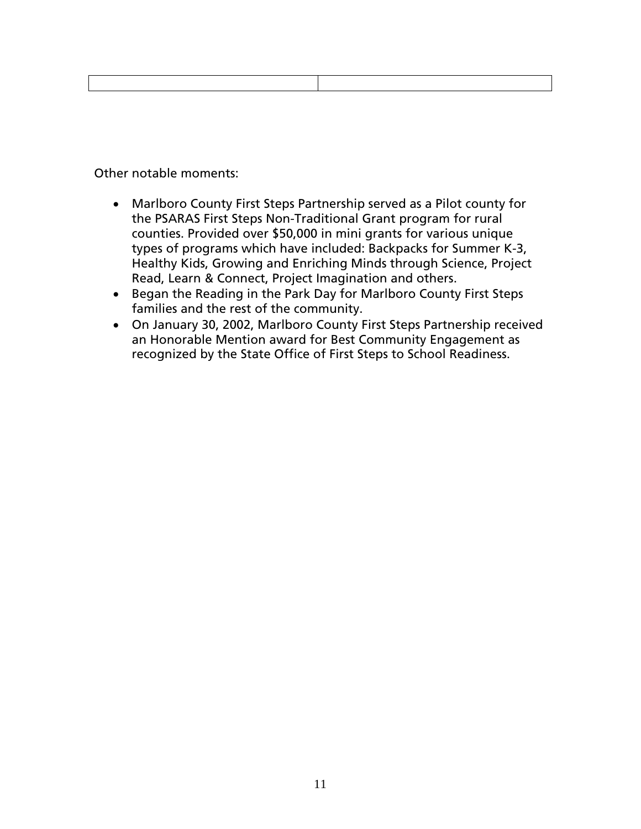Other notable moments:

- Marlboro County First Steps Partnership served as a Pilot county for the PSARAS First Steps Non-Traditional Grant program for rural counties. Provided over \$50,000 in mini grants for various unique types of programs which have included: Backpacks for Summer K-3, Healthy Kids, Growing and Enriching Minds through Science, Project Read, Learn & Connect, Project Imagination and others.
- Began the Reading in the Park Day for Marlboro County First Steps families and the rest of the community.
- On January 30, 2002, Marlboro County First Steps Partnership received an Honorable Mention award for Best Community Engagement as recognized by the State Office of First Steps to School Readiness.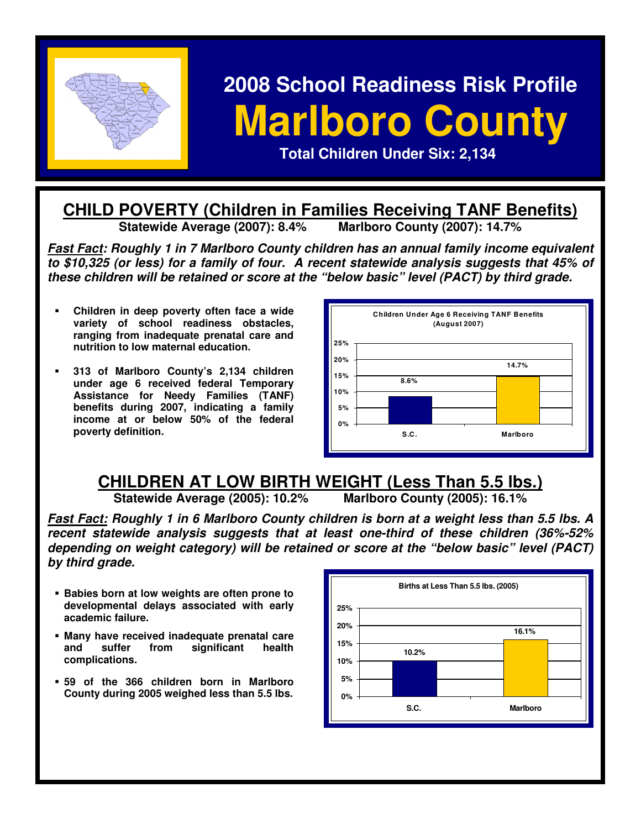

# **2008 School Readiness Risk Profile Marlboro County Narlboro County Example 2.1 <b>Properties Contract Children Under Six: 2,134**

#### **CHILD POVERTY (Children in Families Receiving TANF Benefits)**<br>Statewide Average (2007): 8.4% Marlboro County (2007): 14.7% **Statewide Average (2007): 8.4%**

**Fast Fact: Roughly 1 in 7 Marlboro County children has an annual family income equivalent to \$10,325 (or less) for a family of four. A recent statewide analysis suggests that 45% of these children will be retained or score at the "below basic" level (PACT) by third grade.** 

- **Children in deep poverty often face a wide variety of school readiness obstacles, ranging from inadequate prenatal care and nutrition to low maternal education.**
- **313 of Marlboro County's 2,134 children under age 6 received federal Temporary Assistance for Needy Families (TANF) benefits during 2007, indicating a family income at or below 50% of the federal poverty definition.**



# **CHILDREN AT LOW BIRTH WEIGHT (Less Than 5.5 lbs.)**<br>Statewide Average (2005): 10.2% Marlboro County (2005): 16.1%

**Statewide Average (2005): 10.2%** 

**Fast Fact: Roughly 1 in 6 Marlboro County children is born at a weight less than 5.5 lbs. A recent statewide analysis suggests that at least one-third of these children (36%-52% depending on weight category) will be retained or score at the "below basic" level (PACT) by third grade.** 

- **Babies born at low weights are often prone to developmental delays associated with early academic failure.**
- **Many have received inadequate prenatal care and suffer from significant health complications.**
- **59 of the 366 children born in Marlboro County during 2005 weighed less than 5.5 lbs.**